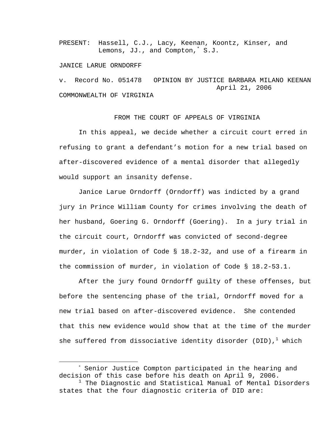PRESENT: Hassell, C.J., Lacy, Keenan, Koontz, Kinser, and Lemons, JJ., and Compton,\* S.J.

### JANICE LARUE ORNDORFF

v. Record No. 051478 OPINION BY JUSTICE BARBARA MILANO KEENAN April 21, 2006 COMMONWEALTH OF VIRGINIA

# FROM THE COURT OF APPEALS OF VIRGINIA

In this appeal, we decide whether a circuit court erred in refusing to grant a defendant's motion for a new trial based on after-discovered evidence of a mental disorder that allegedly would support an insanity defense.

Janice Larue Orndorff (Orndorff) was indicted by a grand jury in Prince William County for crimes involving the death of her husband, Goering G. Orndorff (Goering). In a jury trial in the circuit court, Orndorff was convicted of second-degree murder, in violation of Code § 18.2-32, and use of a firearm in the commission of murder, in violation of Code § 18.2-53.1.

After the jury found Orndorff guilty of these offenses, but before the sentencing phase of the trial, Orndorff moved for a new trial based on after-discovered evidence. She contended that this new evidence would show that at the time of the murder she suffered from dissociative identity disorder (DID), $^1$  which

<sup>&</sup>lt;u>\*</u> \* Senior Justice Compton participated in the hearing and decision of this case before his death on April 9, 2006.

 $^{\rm 1}$  The Diagnostic and Statistical Manual of Mental Disorders states that the four diagnostic criteria of DID are: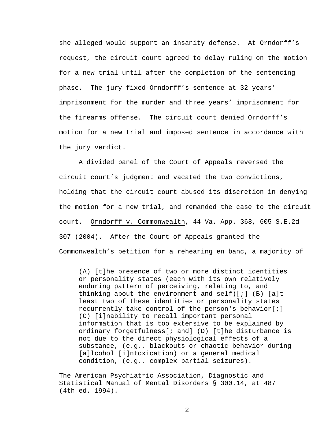she alleged would support an insanity defense. At Orndorff's request, the circuit court agreed to delay ruling on the motion for a new trial until after the completion of the sentencing phase. The jury fixed Orndorff's sentence at 32 years' imprisonment for the murder and three years' imprisonment for the firearms offense. The circuit court denied Orndorff's motion for a new trial and imposed sentence in accordance with the jury verdict.

A divided panel of the Court of Appeals reversed the circuit court's judgment and vacated the two convictions, holding that the circuit court abused its discretion in denying the motion for a new trial, and remanded the case to the circuit court. Orndorff v. Commonwealth, 44 Va. App. 368, 605 S.E.2d 307 (2004). After the Court of Appeals granted the Commonwealth's petition for a rehearing en banc, a majority of

(A) [t]he presence of two or more distinct identities or personality states (each with its own relatively enduring pattern of perceiving, relating to, and thinking about the environment and self)[;] (B) [a]t least two of these identities or personality states recurrently take control of the person's behavior[;] (C) [i]nability to recall important personal information that is too extensive to be explained by ordinary forgetfulness[; and] (D) [t]he disturbance is not due to the direct physiological effects of a substance, (e.g., blackouts or chaotic behavior during [a]lcohol [i]ntoxication) or a general medical condition, (e.g., complex partial seizures).

The American Psychiatric Association, Diagnostic and Statistical Manual of Mental Disorders § 300.14, at 487 (4th ed. 1994).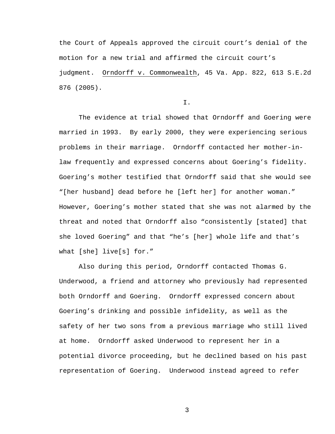the Court of Appeals approved the circuit court's denial of the motion for a new trial and affirmed the circuit court's judgment. Orndorff v. Commonwealth, 45 Va. App. 822, 613 S.E.2d 876 (2005).

I.

The evidence at trial showed that Orndorff and Goering were married in 1993. By early 2000, they were experiencing serious problems in their marriage. Orndorff contacted her mother-inlaw frequently and expressed concerns about Goering's fidelity. Goering's mother testified that Orndorff said that she would see "[her husband] dead before he [left her] for another woman." However, Goering's mother stated that she was not alarmed by the threat and noted that Orndorff also "consistently [stated] that she loved Goering" and that "he's [her] whole life and that's what [she] live[s] for."

Also during this period, Orndorff contacted Thomas G. Underwood, a friend and attorney who previously had represented both Orndorff and Goering. Orndorff expressed concern about Goering's drinking and possible infidelity, as well as the safety of her two sons from a previous marriage who still lived at home. Orndorff asked Underwood to represent her in a potential divorce proceeding, but he declined based on his past representation of Goering. Underwood instead agreed to refer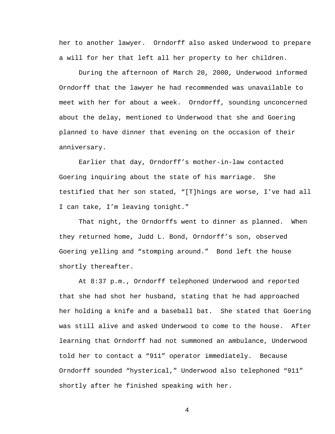her to another lawyer. Orndorff also asked Underwood to prepare a will for her that left all her property to her children.

During the afternoon of March 20, 2000, Underwood informed Orndorff that the lawyer he had recommended was unavailable to meet with her for about a week. Orndorff, sounding unconcerned about the delay, mentioned to Underwood that she and Goering planned to have dinner that evening on the occasion of their anniversary.

Earlier that day, Orndorff's mother-in-law contacted Goering inquiring about the state of his marriage. She testified that her son stated, "[T]hings are worse, I've had all I can take, I'm leaving tonight."

That night, the Orndorffs went to dinner as planned. When they returned home, Judd L. Bond, Orndorff's son, observed Goering yelling and "stomping around." Bond left the house shortly thereafter.

At 8:37 p.m., Orndorff telephoned Underwood and reported that she had shot her husband, stating that he had approached her holding a knife and a baseball bat. She stated that Goering was still alive and asked Underwood to come to the house. After learning that Orndorff had not summoned an ambulance, Underwood told her to contact a "911" operator immediately. Because Orndorff sounded "hysterical," Underwood also telephoned "911" shortly after he finished speaking with her.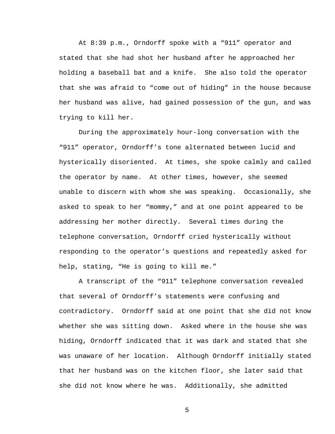At 8:39 p.m., Orndorff spoke with a "911" operator and stated that she had shot her husband after he approached her holding a baseball bat and a knife. She also told the operator that she was afraid to "come out of hiding" in the house because her husband was alive, had gained possession of the gun, and was trying to kill her.

During the approximately hour-long conversation with the "911" operator, Orndorff's tone alternated between lucid and hysterically disoriented. At times, she spoke calmly and called the operator by name. At other times, however, she seemed unable to discern with whom she was speaking. Occasionally, she asked to speak to her "mommy," and at one point appeared to be addressing her mother directly. Several times during the telephone conversation, Orndorff cried hysterically without responding to the operator's questions and repeatedly asked for help, stating, "He is going to kill me."

A transcript of the "911" telephone conversation revealed that several of Orndorff's statements were confusing and contradictory. Orndorff said at one point that she did not know whether she was sitting down. Asked where in the house she was hiding, Orndorff indicated that it was dark and stated that she was unaware of her location. Although Orndorff initially stated that her husband was on the kitchen floor, she later said that she did not know where he was. Additionally, she admitted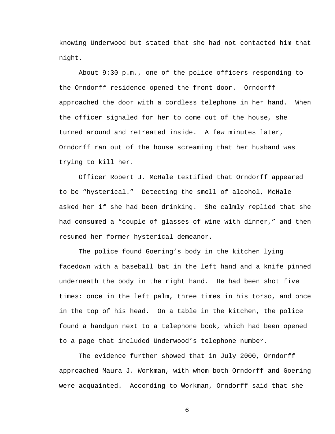knowing Underwood but stated that she had not contacted him that night.

About 9:30 p.m., one of the police officers responding to the Orndorff residence opened the front door. Orndorff approached the door with a cordless telephone in her hand. When the officer signaled for her to come out of the house, she turned around and retreated inside. A few minutes later, Orndorff ran out of the house screaming that her husband was trying to kill her.

Officer Robert J. McHale testified that Orndorff appeared to be "hysterical." Detecting the smell of alcohol, McHale asked her if she had been drinking. She calmly replied that she had consumed a "couple of glasses of wine with dinner," and then resumed her former hysterical demeanor.

The police found Goering's body in the kitchen lying facedown with a baseball bat in the left hand and a knife pinned underneath the body in the right hand. He had been shot five times: once in the left palm, three times in his torso, and once in the top of his head. On a table in the kitchen, the police found a handgun next to a telephone book, which had been opened to a page that included Underwood's telephone number.

The evidence further showed that in July 2000, Orndorff approached Maura J. Workman, with whom both Orndorff and Goering were acquainted. According to Workman, Orndorff said that she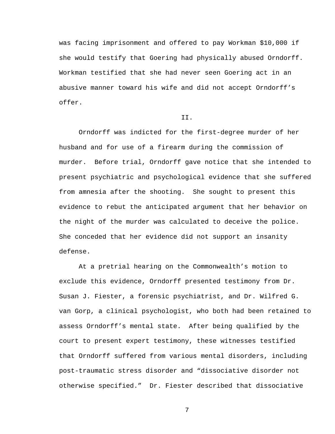was facing imprisonment and offered to pay Workman \$10,000 if she would testify that Goering had physically abused Orndorff. Workman testified that she had never seen Goering act in an abusive manner toward his wife and did not accept Orndorff's offer.

### II.

Orndorff was indicted for the first-degree murder of her husband and for use of a firearm during the commission of murder. Before trial, Orndorff gave notice that she intended to present psychiatric and psychological evidence that she suffered from amnesia after the shooting. She sought to present this evidence to rebut the anticipated argument that her behavior on the night of the murder was calculated to deceive the police. She conceded that her evidence did not support an insanity defense.

At a pretrial hearing on the Commonwealth's motion to exclude this evidence, Orndorff presented testimony from Dr. Susan J. Fiester, a forensic psychiatrist, and Dr. Wilfred G. van Gorp, a clinical psychologist, who both had been retained to assess Orndorff's mental state. After being qualified by the court to present expert testimony, these witnesses testified that Orndorff suffered from various mental disorders, including post-traumatic stress disorder and "dissociative disorder not otherwise specified." Dr. Fiester described that dissociative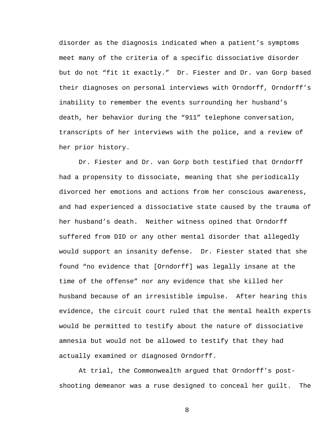disorder as the diagnosis indicated when a patient's symptoms meet many of the criteria of a specific dissociative disorder but do not "fit it exactly." Dr. Fiester and Dr. van Gorp based their diagnoses on personal interviews with Orndorff, Orndorff's inability to remember the events surrounding her husband's death, her behavior during the "911" telephone conversation, transcripts of her interviews with the police, and a review of her prior history.

Dr. Fiester and Dr. van Gorp both testified that Orndorff had a propensity to dissociate, meaning that she periodically divorced her emotions and actions from her conscious awareness, and had experienced a dissociative state caused by the trauma of her husband's death. Neither witness opined that Orndorff suffered from DID or any other mental disorder that allegedly would support an insanity defense. Dr. Fiester stated that she found "no evidence that [Orndorff] was legally insane at the time of the offense" nor any evidence that she killed her husband because of an irresistible impulse. After hearing this evidence, the circuit court ruled that the mental health experts would be permitted to testify about the nature of dissociative amnesia but would not be allowed to testify that they had actually examined or diagnosed Orndorff.

At trial, the Commonwealth argued that Orndorff's postshooting demeanor was a ruse designed to conceal her guilt. The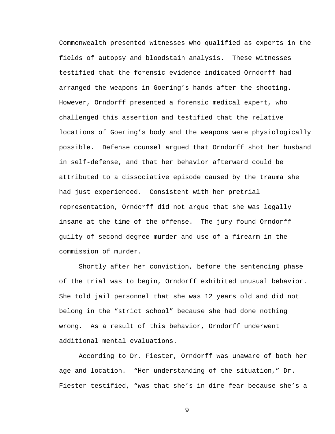Commonwealth presented witnesses who qualified as experts in the fields of autopsy and bloodstain analysis. These witnesses testified that the forensic evidence indicated Orndorff had arranged the weapons in Goering's hands after the shooting. However, Orndorff presented a forensic medical expert, who challenged this assertion and testified that the relative locations of Goering's body and the weapons were physiologically possible. Defense counsel argued that Orndorff shot her husband in self-defense, and that her behavior afterward could be attributed to a dissociative episode caused by the trauma she had just experienced. Consistent with her pretrial representation, Orndorff did not argue that she was legally insane at the time of the offense. The jury found Orndorff guilty of second-degree murder and use of a firearm in the commission of murder.

Shortly after her conviction, before the sentencing phase of the trial was to begin, Orndorff exhibited unusual behavior. She told jail personnel that she was 12 years old and did not belong in the "strict school" because she had done nothing wrong. As a result of this behavior, Orndorff underwent additional mental evaluations.

According to Dr. Fiester, Orndorff was unaware of both her age and location. "Her understanding of the situation," Dr. Fiester testified, "was that she's in dire fear because she's a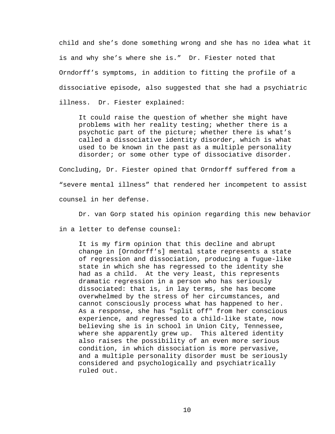child and she's done something wrong and she has no idea what it is and why she's where she is." Dr. Fiester noted that Orndorff's symptoms, in addition to fitting the profile of a dissociative episode, also suggested that she had a psychiatric illness. Dr. Fiester explained:

It could raise the question of whether she might have problems with her reality testing; whether there is a psychotic part of the picture; whether there is what's called a dissociative identity disorder, which is what used to be known in the past as a multiple personality disorder; or some other type of dissociative disorder.

Concluding, Dr. Fiester opined that Orndorff suffered from a "severe mental illness" that rendered her incompetent to assist counsel in her defense.

Dr. van Gorp stated his opinion regarding this new behavior

in a letter to defense counsel:

It is my firm opinion that this decline and abrupt change in [Orndorff's] mental state represents a state of regression and dissociation, producing a fugue-like state in which she has regressed to the identity she had as a child. At the very least, this represents dramatic regression in a person who has seriously dissociated: that is, in lay terms, she has become overwhelmed by the stress of her circumstances, and cannot consciously process what has happened to her. As a response, she has "split off" from her conscious experience, and regressed to a child-like state, now believing she is in school in Union City, Tennessee, where she apparently grew up. This altered identity also raises the possibility of an even more serious condition, in which dissociation is more pervasive, and a multiple personality disorder must be seriously considered and psychologically and psychiatrically ruled out.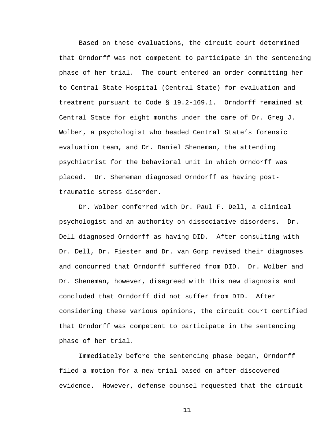Based on these evaluations, the circuit court determined that Orndorff was not competent to participate in the sentencing phase of her trial. The court entered an order committing her to Central State Hospital (Central State) for evaluation and treatment pursuant to Code § 19.2-169.1. Orndorff remained at Central State for eight months under the care of Dr. Greg J. Wolber, a psychologist who headed Central State's forensic evaluation team, and Dr. Daniel Sheneman, the attending psychiatrist for the behavioral unit in which Orndorff was placed. Dr. Sheneman diagnosed Orndorff as having posttraumatic stress disorder**.**

Dr. Wolber conferred with Dr. Paul F. Dell, a clinical psychologist and an authority on dissociative disorders. Dr. Dell diagnosed Orndorff as having DID. After consulting with Dr. Dell, Dr. Fiester and Dr. van Gorp revised their diagnoses and concurred that Orndorff suffered from DID. Dr. Wolber and Dr. Sheneman, however, disagreed with this new diagnosis and concluded that Orndorff did not suffer from DID. After considering these various opinions, the circuit court certified that Orndorff was competent to participate in the sentencing phase of her trial.

Immediately before the sentencing phase began, Orndorff filed a motion for a new trial based on after-discovered evidence. However, defense counsel requested that the circuit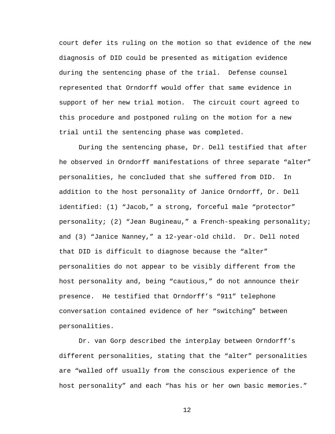court defer its ruling on the motion so that evidence of the new diagnosis of DID could be presented as mitigation evidence during the sentencing phase of the trial. Defense counsel represented that Orndorff would offer that same evidence in support of her new trial motion. The circuit court agreed to this procedure and postponed ruling on the motion for a new trial until the sentencing phase was completed.

During the sentencing phase, Dr. Dell testified that after he observed in Orndorff manifestations of three separate "alter" personalities, he concluded that she suffered from DID. In addition to the host personality of Janice Orndorff, Dr. Dell identified: (1) "Jacob," a strong, forceful male "protector" personality; (2) "Jean Bugineau," a French-speaking personality; and (3) "Janice Nanney," a 12-year-old child. Dr. Dell noted that DID is difficult to diagnose because the "alter" personalities do not appear to be visibly different from the host personality and, being "cautious," do not announce their presence. He testified that Orndorff's "911" telephone conversation contained evidence of her "switching" between personalities.

Dr. van Gorp described the interplay between Orndorff's different personalities, stating that the "alter" personalities are "walled off usually from the conscious experience of the host personality" and each "has his or her own basic memories."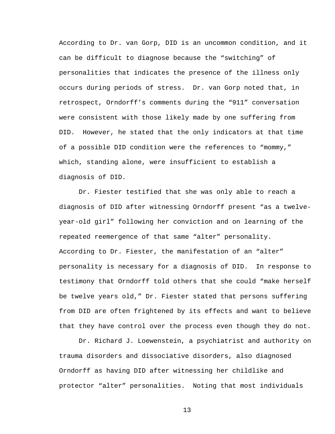According to Dr. van Gorp, DID is an uncommon condition, and it can be difficult to diagnose because the "switching" of personalities that indicates the presence of the illness only occurs during periods of stress. Dr. van Gorp noted that, in retrospect, Orndorff's comments during the "911" conversation were consistent with those likely made by one suffering from DID. However, he stated that the only indicators at that time of a possible DID condition were the references to "mommy," which, standing alone, were insufficient to establish a diagnosis of DID.

Dr. Fiester testified that she was only able to reach a diagnosis of DID after witnessing Orndorff present "as a twelveyear-old girl" following her conviction and on learning of the repeated reemergence of that same "alter" personality. According to Dr. Fiester, the manifestation of an "alter" personality is necessary for a diagnosis of DID. In response to testimony that Orndorff told others that she could "make herself be twelve years old," Dr. Fiester stated that persons suffering from DID are often frightened by its effects and want to believe that they have control over the process even though they do not.

Dr. Richard J. Loewenstein, a psychiatrist and authority on trauma disorders and dissociative disorders, also diagnosed Orndorff as having DID after witnessing her childlike and protector "alter" personalities. Noting that most individuals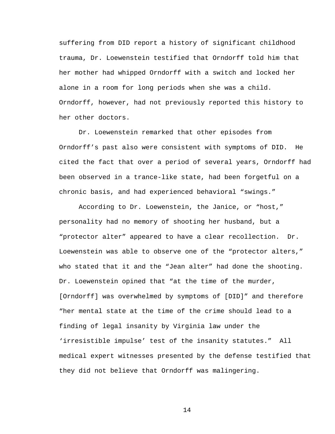suffering from DID report a history of significant childhood trauma, Dr. Loewenstein testified that Orndorff told him that her mother had whipped Orndorff with a switch and locked her alone in a room for long periods when she was a child. Orndorff, however, had not previously reported this history to her other doctors.

Dr. Loewenstein remarked that other episodes from Orndorff's past also were consistent with symptoms of DID. He cited the fact that over a period of several years, Orndorff had been observed in a trance-like state, had been forgetful on a chronic basis, and had experienced behavioral "swings."

According to Dr. Loewenstein, the Janice, or "host," personality had no memory of shooting her husband, but a "protector alter" appeared to have a clear recollection. Dr. Loewenstein was able to observe one of the "protector alters," who stated that it and the "Jean alter" had done the shooting. Dr. Loewenstein opined that "at the time of the murder, [Orndorff] was overwhelmed by symptoms of [DID]" and therefore "her mental state at the time of the crime should lead to a finding of legal insanity by Virginia law under the 'irresistible impulse' test of the insanity statutes." All medical expert witnesses presented by the defense testified that they did not believe that Orndorff was malingering.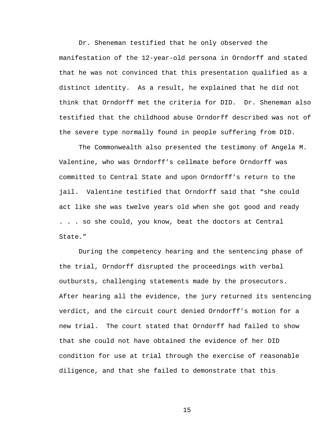Dr. Sheneman testified that he only observed the manifestation of the 12-year-old persona in Orndorff and stated that he was not convinced that this presentation qualified as a distinct identity. As a result, he explained that he did not think that Orndorff met the criteria for DID. Dr. Sheneman also testified that the childhood abuse Orndorff described was not of the severe type normally found in people suffering from DID.

The Commonwealth also presented the testimony of Angela M. Valentine, who was Orndorff's cellmate before Orndorff was committed to Central State and upon Orndorff's return to the jail. Valentine testified that Orndorff said that "she could act like she was twelve years old when she got good and ready . . . so she could, you know, beat the doctors at Central State."

During the competency hearing and the sentencing phase of the trial, Orndorff disrupted the proceedings with verbal outbursts, challenging statements made by the prosecutors. After hearing all the evidence, the jury returned its sentencing verdict, and the circuit court denied Orndorff's motion for a new trial. The court stated that Orndorff had failed to show that she could not have obtained the evidence of her DID condition for use at trial through the exercise of reasonable diligence, and that she failed to demonstrate that this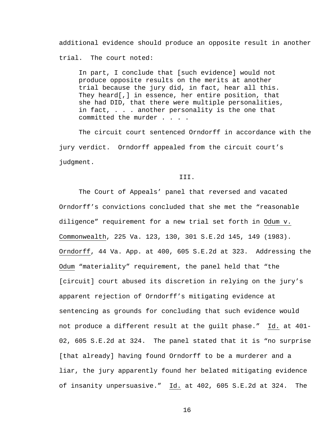additional evidence should produce an opposite result in another trial. The court noted:

In part, I conclude that [such evidence] would not produce opposite results on the merits at another trial because the jury did, in fact, hear all this. They heard[,] in essence, her entire position, that she had DID, that there were multiple personalities, in fact, . . . another personality is the one that committed the murder . . . .

The circuit court sentenced Orndorff in accordance with the jury verdict. Orndorff appealed from the circuit court's judgment.

## III.

The Court of Appeals' panel that reversed and vacated Orndorff's convictions concluded that she met the "reasonable diligence" requirement for a new trial set forth in Odum v. Commonwealth, 225 Va. 123, 130, 301 S.E.2d 145, 149 (1983). Orndorff, 44 Va. App. at 400, 605 S.E.2d at 323. Addressing the Odum "materiality" requirement, the panel held that "the [circuit] court abused its discretion in relying on the jury's apparent rejection of Orndorff's mitigating evidence at sentencing as grounds for concluding that such evidence would not produce a different result at the guilt phase." Id. at 401- 02, 605 S.E.2d at 324. The panel stated that it is "no surprise [that already] having found Orndorff to be a murderer and a liar, the jury apparently found her belated mitigating evidence of insanity unpersuasive." Id. at 402, 605 S.E.2d at 324. The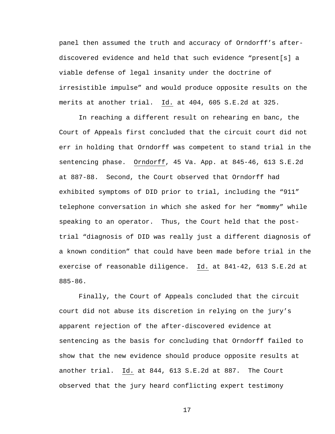panel then assumed the truth and accuracy of Orndorff's afterdiscovered evidence and held that such evidence "present[s] a viable defense of legal insanity under the doctrine of irresistible impulse" and would produce opposite results on the merits at another trial. Id. at 404, 605 S.E.2d at 325.

In reaching a different result on rehearing en banc, the Court of Appeals first concluded that the circuit court did not err in holding that Orndorff was competent to stand trial in the sentencing phase. Orndorff, 45 Va. App. at 845-46, 613 S.E.2d at 887-88. Second, the Court observed that Orndorff had exhibited symptoms of DID prior to trial, including the "911" telephone conversation in which she asked for her "mommy" while speaking to an operator. Thus, the Court held that the posttrial "diagnosis of DID was really just a different diagnosis of a known condition" that could have been made before trial in the exercise of reasonable diligence. Id. at 841-42, 613 S.E.2d at 885-86.

Finally, the Court of Appeals concluded that the circuit court did not abuse its discretion in relying on the jury's apparent rejection of the after-discovered evidence at sentencing as the basis for concluding that Orndorff failed to show that the new evidence should produce opposite results at another trial. Id. at 844, 613 S.E.2d at 887. The Court observed that the jury heard conflicting expert testimony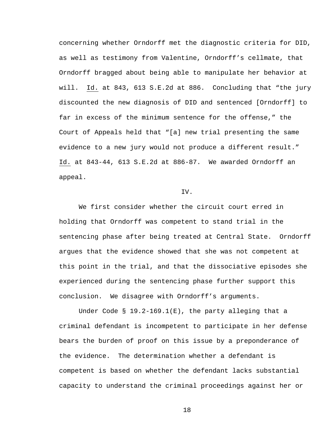concerning whether Orndorff met the diagnostic criteria for DID, as well as testimony from Valentine, Orndorff's cellmate, that Orndorff bragged about being able to manipulate her behavior at will. Id. at 843, 613 S.E.2d at 886. Concluding that "the jury discounted the new diagnosis of DID and sentenced [Orndorff] to far in excess of the minimum sentence for the offense," the Court of Appeals held that "[a] new trial presenting the same evidence to a new jury would not produce a different result." Id. at 843-44, 613 S.E.2d at 886-87. We awarded Orndorff an appeal.

#### IV.

We first consider whether the circuit court erred in holding that Orndorff was competent to stand trial in the sentencing phase after being treated at Central State. Orndorff argues that the evidence showed that she was not competent at this point in the trial, and that the dissociative episodes she experienced during the sentencing phase further support this conclusion. We disagree with Orndorff's arguments.

Under Code § 19.2-169.1(E), the party alleging that a criminal defendant is incompetent to participate in her defense bears the burden of proof on this issue by a preponderance of the evidence. The determination whether a defendant is competent is based on whether the defendant lacks substantial capacity to understand the criminal proceedings against her or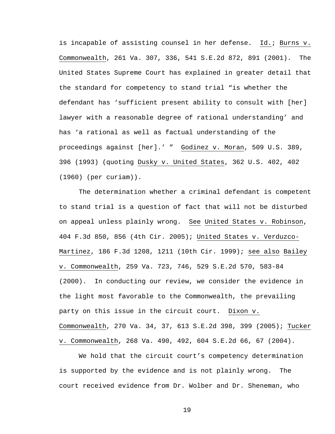is incapable of assisting counsel in her defense. Id.; Burns v. Commonwealth, 261 Va. 307, 336, 541 S.E.2d 872, 891 (2001). The United States Supreme Court has explained in greater detail that the standard for competency to stand trial "is whether the defendant has 'sufficient present ability to consult with [her] lawyer with a reasonable degree of rational understanding' and has 'a rational as well as factual understanding of the proceedings against [her].' " Godinez v. Moran, 509 U.S. 389, 396 (1993) (quoting Dusky v. United States, 362 U.S. 402, 402 (1960) (per curiam)).

The determination whether a criminal defendant is competent to stand trial is a question of fact that will not be disturbed on appeal unless plainly wrong. See United States v. Robinson, 404 F.3d 850, 856 (4th Cir. 2005); United States v. Verduzco-Martinez, 186 F.3d 1208, 1211 (10th Cir. 1999); see also Bailey v. Commonwealth, 259 Va. 723, 746, 529 S.E.2d 570, 583-84 (2000). In conducting our review, we consider the evidence in the light most favorable to the Commonwealth, the prevailing party on this issue in the circuit court. Dixon v. Commonwealth, 270 Va. 34, 37, 613 S.E.2d 398, 399 (2005); Tucker v. Commonwealth, 268 Va. 490, 492, 604 S.E.2d 66, 67 (2004).

We hold that the circuit court's competency determination is supported by the evidence and is not plainly wrong. The court received evidence from Dr. Wolber and Dr. Sheneman, who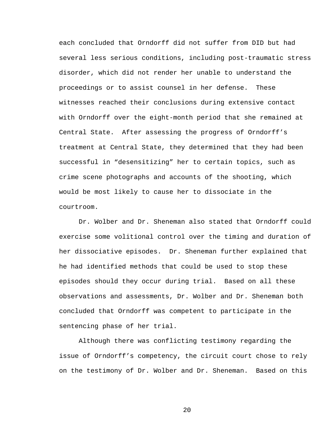each concluded that Orndorff did not suffer from DID but had several less serious conditions, including post-traumatic stress disorder, which did not render her unable to understand the proceedings or to assist counsel in her defense. These witnesses reached their conclusions during extensive contact with Orndorff over the eight-month period that she remained at Central State. After assessing the progress of Orndorff's treatment at Central State, they determined that they had been successful in "desensitizing" her to certain topics, such as crime scene photographs and accounts of the shooting, which would be most likely to cause her to dissociate in the courtroom.

Dr. Wolber and Dr. Sheneman also stated that Orndorff could exercise some volitional control over the timing and duration of her dissociative episodes. Dr. Sheneman further explained that he had identified methods that could be used to stop these episodes should they occur during trial. Based on all these observations and assessments, Dr. Wolber and Dr. Sheneman both concluded that Orndorff was competent to participate in the sentencing phase of her trial.

Although there was conflicting testimony regarding the issue of Orndorff's competency, the circuit court chose to rely on the testimony of Dr. Wolber and Dr. Sheneman. Based on this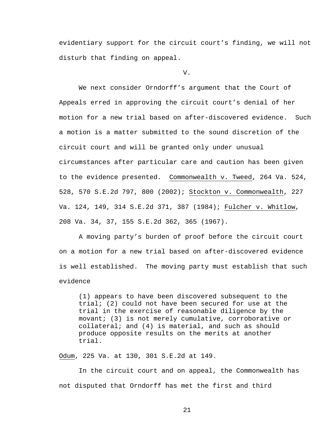evidentiary support for the circuit court's finding, we will not disturb that finding on appeal.

V.

We next consider Orndorff's argument that the Court of Appeals erred in approving the circuit court's denial of her motion for a new trial based on after-discovered evidence. Such a motion is a matter submitted to the sound discretion of the circuit court and will be granted only under unusual circumstances after particular care and caution has been given to the evidence presented. Commonwealth v. Tweed, 264 Va. 524, 528, 570 S.E.2d 797, 800 (2002); Stockton v. Commonwealth, 227 Va. 124, 149, 314 S.E.2d 371, 387 (1984); Fulcher v. Whitlow, 208 Va. 34, 37, 155 S.E.2d 362, 365 (1967).

A moving party's burden of proof before the circuit court on a motion for a new trial based on after-discovered evidence is well established. The moving party must establish that such evidence

(1) appears to have been discovered subsequent to the trial; (2) could not have been secured for use at the trial in the exercise of reasonable diligence by the movant; (3) is not merely cumulative, corroborative or collateral; and (4) is material, and such as should produce opposite results on the merits at another trial.

Odum, 225 Va. at 130, 301 S.E.2d at 149.

In the circuit court and on appeal, the Commonwealth has not disputed that Orndorff has met the first and third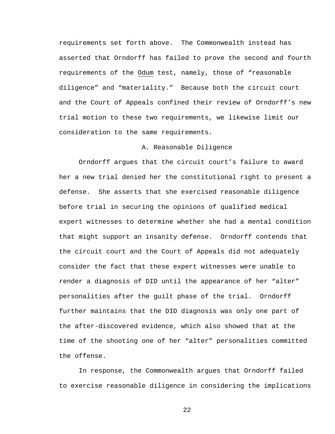requirements set forth above. The Commonwealth instead has asserted that Orndorff has failed to prove the second and fourth requirements of the Odum test, namely, those of "reasonable diligence" and "materiality." Because both the circuit court and the Court of Appeals confined their review of Orndorff's new trial motion to these two requirements, we likewise limit our consideration to the same requirements.

# A. Reasonable Diligence

Orndorff argues that the circuit court's failure to award her a new trial denied her the constitutional right to present a defense. She asserts that she exercised reasonable diligence before trial in securing the opinions of qualified medical expert witnesses to determine whether she had a mental condition that might support an insanity defense. Orndorff contends that the circuit court and the Court of Appeals did not adequately consider the fact that these expert witnesses were unable to render a diagnosis of DID until the appearance of her "alter" personalities after the guilt phase of the trial. Orndorff further maintains that the DID diagnosis was only one part of the after-discovered evidence, which also showed that at the time of the shooting one of her "alter" personalities committed the offense.

In response, the Commonwealth argues that Orndorff failed to exercise reasonable diligence in considering the implications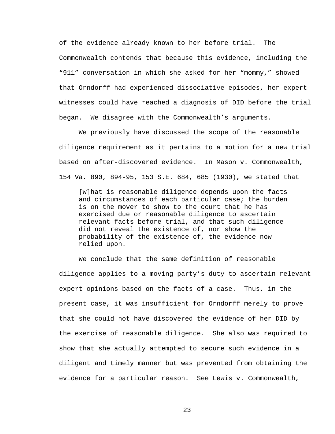of the evidence already known to her before trial. The Commonwealth contends that because this evidence, including the "911" conversation in which she asked for her "mommy," showed that Orndorff had experienced dissociative episodes, her expert witnesses could have reached a diagnosis of DID before the trial began. We disagree with the Commonwealth's arguments.

We previously have discussed the scope of the reasonable diligence requirement as it pertains to a motion for a new trial based on after-discovered evidence. In Mason v. Commonwealth, 154 Va. 890, 894-95, 153 S.E. 684, 685 (1930), we stated that

[w]hat is reasonable diligence depends upon the facts and circumstances of each particular case; the burden is on the mover to show to the court that he has exercised due or reasonable diligence to ascertain relevant facts before trial, and that such diligence did not reveal the existence of, nor show the probability of the existence of, the evidence now relied upon.

We conclude that the same definition of reasonable diligence applies to a moving party's duty to ascertain relevant expert opinions based on the facts of a case. Thus, in the present case, it was insufficient for Orndorff merely to prove that she could not have discovered the evidence of her DID by the exercise of reasonable diligence. She also was required to show that she actually attempted to secure such evidence in a diligent and timely manner but was prevented from obtaining the evidence for a particular reason. See Lewis v. Commonwealth,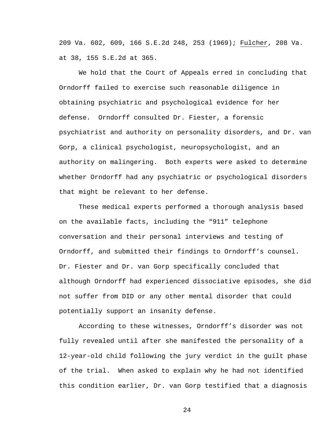209 Va. 602, 609, 166 S.E.2d 248, 253 (1969); Fulcher, 208 Va. at 38, 155 S.E.2d at 365.

We hold that the Court of Appeals erred in concluding that Orndorff failed to exercise such reasonable diligence in obtaining psychiatric and psychological evidence for her defense. Orndorff consulted Dr. Fiester, a forensic psychiatrist and authority on personality disorders, and Dr. van Gorp, a clinical psychologist, neuropsychologist, and an authority on malingering. Both experts were asked to determine whether Orndorff had any psychiatric or psychological disorders that might be relevant to her defense.

These medical experts performed a thorough analysis based on the available facts, including the "911" telephone conversation and their personal interviews and testing of Orndorff, and submitted their findings to Orndorff's counsel. Dr. Fiester and Dr. van Gorp specifically concluded that although Orndorff had experienced dissociative episodes, she did not suffer from DID or any other mental disorder that could potentially support an insanity defense.

According to these witnesses, Orndorff's disorder was not fully revealed until after she manifested the personality of a 12-year-old child following the jury verdict in the guilt phase of the trial. When asked to explain why he had not identified this condition earlier, Dr. van Gorp testified that a diagnosis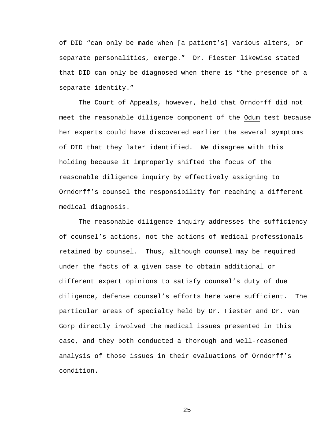of DID "can only be made when [a patient's] various alters, or separate personalities, emerge." Dr. Fiester likewise stated that DID can only be diagnosed when there is "the presence of a separate identity."

The Court of Appeals, however, held that Orndorff did not meet the reasonable diligence component of the Odum test because her experts could have discovered earlier the several symptoms of DID that they later identified. We disagree with this holding because it improperly shifted the focus of the reasonable diligence inquiry by effectively assigning to Orndorff's counsel the responsibility for reaching a different medical diagnosis.

The reasonable diligence inquiry addresses the sufficiency of counsel's actions, not the actions of medical professionals retained by counsel. Thus, although counsel may be required under the facts of a given case to obtain additional or different expert opinions to satisfy counsel's duty of due diligence, defense counsel's efforts here were sufficient. The particular areas of specialty held by Dr. Fiester and Dr. van Gorp directly involved the medical issues presented in this case, and they both conducted a thorough and well-reasoned analysis of those issues in their evaluations of Orndorff's condition.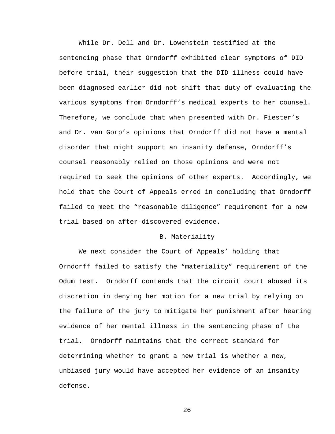While Dr. Dell and Dr. Lowenstein testified at the sentencing phase that Orndorff exhibited clear symptoms of DID before trial, their suggestion that the DID illness could have been diagnosed earlier did not shift that duty of evaluating the various symptoms from Orndorff's medical experts to her counsel. Therefore, we conclude that when presented with Dr. Fiester's and Dr. van Gorp's opinions that Orndorff did not have a mental disorder that might support an insanity defense, Orndorff's counsel reasonably relied on those opinions and were not required to seek the opinions of other experts. Accordingly, we hold that the Court of Appeals erred in concluding that Orndorff failed to meet the "reasonable diligence" requirement for a new trial based on after-discovered evidence.

# B. Materiality

We next consider the Court of Appeals' holding that Orndorff failed to satisfy the "materiality" requirement of the Odum test. Orndorff contends that the circuit court abused its discretion in denying her motion for a new trial by relying on the failure of the jury to mitigate her punishment after hearing evidence of her mental illness in the sentencing phase of the trial. Orndorff maintains that the correct standard for determining whether to grant a new trial is whether a new, unbiased jury would have accepted her evidence of an insanity defense.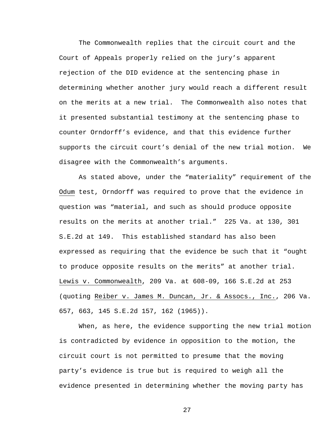The Commonwealth replies that the circuit court and the Court of Appeals properly relied on the jury's apparent rejection of the DID evidence at the sentencing phase in determining whether another jury would reach a different result on the merits at a new trial. The Commonwealth also notes that it presented substantial testimony at the sentencing phase to counter Orndorff's evidence, and that this evidence further supports the circuit court's denial of the new trial motion. We disagree with the Commonwealth's arguments.

As stated above, under the "materiality" requirement of the Odum test, Orndorff was required to prove that the evidence in question was "material, and such as should produce opposite results on the merits at another trial." 225 Va. at 130, 301 S.E.2d at 149. This established standard has also been expressed as requiring that the evidence be such that it "ought to produce opposite results on the merits" at another trial. Lewis v. Commonwealth, 209 Va. at 608-09, 166 S.E.2d at 253 (quoting Reiber v. James M. Duncan, Jr. & Assocs., Inc., 206 Va. 657, 663, 145 S.E.2d 157, 162 (1965)).

When, as here, the evidence supporting the new trial motion is contradicted by evidence in opposition to the motion, the circuit court is not permitted to presume that the moving party's evidence is true but is required to weigh all the evidence presented in determining whether the moving party has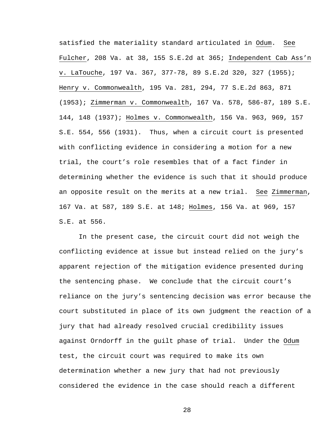satisfied the materiality standard articulated in Odum. See Fulcher, 208 Va. at 38, 155 S.E.2d at 365; Independent Cab Ass'n v. LaTouche, 197 Va. 367, 377-78, 89 S.E.2d 320, 327 (1955); Henry v. Commonwealth, 195 Va. 281, 294, 77 S.E.2d 863, 871 (1953); Zimmerman v. Commonwealth, 167 Va. 578, 586-87, 189 S.E. 144, 148 (1937); Holmes v. Commonwealth, 156 Va. 963, 969, 157 S.E. 554, 556 (1931). Thus, when a circuit court is presented with conflicting evidence in considering a motion for a new trial, the court's role resembles that of a fact finder in determining whether the evidence is such that it should produce an opposite result on the merits at a new trial. See Zimmerman, 167 Va. at 587, 189 S.E. at 148; Holmes, 156 Va. at 969, 157 S.E. at 556.

In the present case, the circuit court did not weigh the conflicting evidence at issue but instead relied on the jury's apparent rejection of the mitigation evidence presented during the sentencing phase. We conclude that the circuit court's reliance on the jury's sentencing decision was error because the court substituted in place of its own judgment the reaction of a jury that had already resolved crucial credibility issues against Orndorff in the guilt phase of trial. Under the Odum test, the circuit court was required to make its own determination whether a new jury that had not previously considered the evidence in the case should reach a different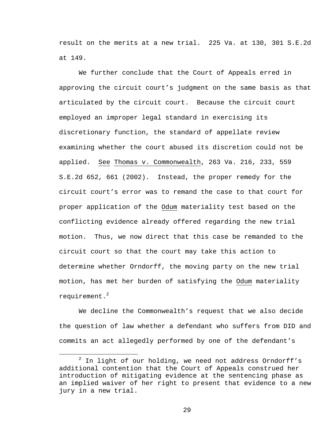result on the merits at a new trial. 225 Va. at 130, 301 S.E.2d at 149.

We further conclude that the Court of Appeals erred in approving the circuit court's judgment on the same basis as that articulated by the circuit court. Because the circuit court employed an improper legal standard in exercising its discretionary function, the standard of appellate review examining whether the court abused its discretion could not be applied. See Thomas v. Commonwealth, 263 Va. 216, 233, 559 S.E.2d 652, 661 (2002). Instead, the proper remedy for the circuit court's error was to remand the case to that court for proper application of the Odum materiality test based on the conflicting evidence already offered regarding the new trial motion. Thus, we now direct that this case be remanded to the circuit court so that the court may take this action to determine whether Orndorff, the moving party on the new trial motion, has met her burden of satisfying the Odum materiality requirement. $^2$ 

We decline the Commonwealth's request that we also decide the question of law whether a defendant who suffers from DID and commits an act allegedly performed by one of the defendant's

<sup>2</sup>  $2$  In light of our holding, we need not address Orndorff's additional contention that the Court of Appeals construed her introduction of mitigating evidence at the sentencing phase as an implied waiver of her right to present that evidence to a new jury in a new trial.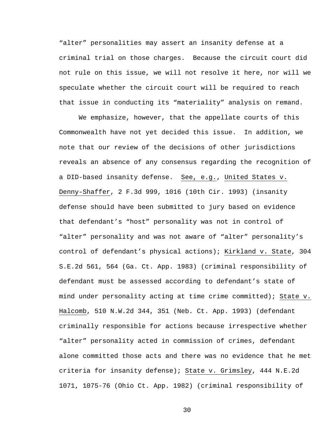"alter" personalities may assert an insanity defense at a criminal trial on those charges. Because the circuit court did not rule on this issue, we will not resolve it here, nor will we speculate whether the circuit court will be required to reach that issue in conducting its "materiality" analysis on remand.

We emphasize, however, that the appellate courts of this Commonwealth have not yet decided this issue. In addition, we note that our review of the decisions of other jurisdictions reveals an absence of any consensus regarding the recognition of a DID-based insanity defense. See, e.g., United States v. Denny-Shaffer, 2 F.3d 999, 1016 (10th Cir. 1993) (insanity defense should have been submitted to jury based on evidence that defendant's "host" personality was not in control of "alter" personality and was not aware of "alter" personality's control of defendant's physical actions); Kirkland v. State, 304 S.E.2d 561, 564 (Ga. Ct. App. 1983) (criminal responsibility of defendant must be assessed according to defendant's state of mind under personality acting at time crime committed); State v. Halcomb, 510 N.W.2d 344, 351 (Neb. Ct. App. 1993) (defendant criminally responsible for actions because irrespective whether "alter" personality acted in commission of crimes, defendant alone committed those acts and there was no evidence that he met criteria for insanity defense); State v. Grimsley, 444 N.E.2d 1071, 1075-76 (Ohio Ct. App. 1982) (criminal responsibility of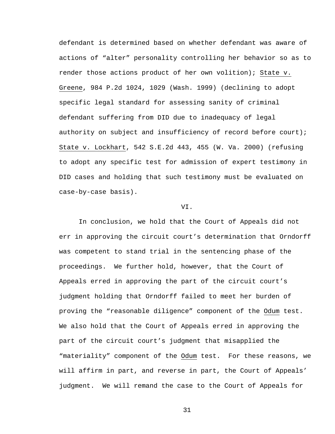defendant is determined based on whether defendant was aware of actions of "alter" personality controlling her behavior so as to render those actions product of her own volition); State v. Greene, 984 P.2d 1024, 1029 (Wash. 1999) (declining to adopt specific legal standard for assessing sanity of criminal defendant suffering from DID due to inadequacy of legal authority on subject and insufficiency of record before court); State v. Lockhart, 542 S.E.2d 443, 455 (W. Va. 2000) (refusing to adopt any specific test for admission of expert testimony in DID cases and holding that such testimony must be evaluated on case-by-case basis).

### VI.

In conclusion, we hold that the Court of Appeals did not err in approving the circuit court's determination that Orndorff was competent to stand trial in the sentencing phase of the proceedings. We further hold, however, that the Court of Appeals erred in approving the part of the circuit court's judgment holding that Orndorff failed to meet her burden of proving the "reasonable diligence" component of the Odum test. We also hold that the Court of Appeals erred in approving the part of the circuit court's judgment that misapplied the "materiality" component of the Odum test. For these reasons, we will affirm in part, and reverse in part, the Court of Appeals' judgment. We will remand the case to the Court of Appeals for